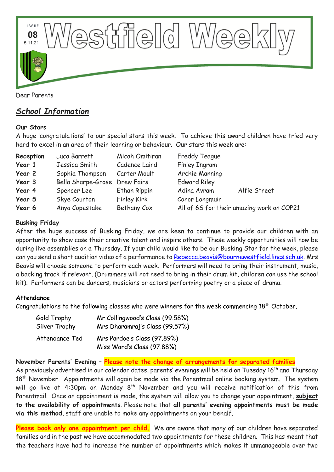

# *School Information*

#### **Our Stars**

A huge 'congratulations' to our special stars this week. To achieve this award children have tried very hard to excel in an area of their learning or behaviour. Our stars this week are:

| Reception | Luca Barrett                  | Micah Omitiran      | <b>Freddy Teague</b>                      |              |
|-----------|-------------------------------|---------------------|-------------------------------------------|--------------|
| Year 1    | Jessica Smith                 | Cadence Laird       | <b>Finley Ingram</b>                      |              |
| Year 2    | Sophia Thompson               | Carter Moult        | Archie Manning                            |              |
| Year 3    | Bella Sharpe-Grose Drew Fairs |                     | <b>Edward Riley</b>                       |              |
| Year 4    | Spencer Lee                   | <b>Ethan Rippin</b> | Adina Avram                               | Alfie Street |
| Year 5    | Skye Courton                  | <b>Finley Kirk</b>  | Conor Longmuir                            |              |
| Year 6    | Anya Copestake                | Bethany Cox         | All of 6S for their amazing work on COP21 |              |

## **Busking Friday**

After the huge success of Busking Friday, we are keen to continue to provide our children with an opportunity to show case their creative talent and inspire others. These weekly opportunities will now be during live assemblies on a Thursday. If your child would like to be our Busking Star for the week, please can you send a short audition video of a performance to [Rebecca.beavis@bournewestfield.lincs.sch.uk.](mailto:Rebecca.beavis@bournewestfield.lincs.sch.uk) Mrs Beavis will choose someone to perform each week. Performers will need to bring their instrument, music, a backing track if relevant. (Drummers will not need to bring in their drum kit, children can use the school kit). Performers can be dancers, musicians or actors performing poetry or a piece of drama.

#### **Attendance**

Congratulations to the following classes who were winners for the week commencing  $18<sup>th</sup>$  October.

| Gold Trophy    | Mr Collingwood's Class (99.58%) |  |  |
|----------------|---------------------------------|--|--|
| Silver Trophy  | Mrs Dharamraj's Class (99.57%)  |  |  |
| Attendance Ted | Mrs Pardoe's Class (97.89%)     |  |  |
|                | Miss Ward's Class (97.88%)      |  |  |

**November Parents' Evening – Please note the change of arrangements for separated families**

As previously advertised in our calendar dates, parents' evenings will be held on Tuesday 16<sup>th</sup> and Thursday 18<sup>th</sup> November. Appointments will again be made via the Parentmail online booking system. The system will go live at 4:30pm on Monday  $8^{th}$  November and you will receive notification of this from Parentmail. Once an appointment is made, the system will allow you to change your appointment, **subject to the availability of appointments**. Please note that **all parents' evening appointments must be made via this method**, staff are unable to make any appointments on your behalf.

Please book only one appointment per child. We are aware that many of our children have separated families and in the past we have accommodated two appointments for these children. This has meant that the teachers have had to increase the number of appointments which makes it unmanageable over two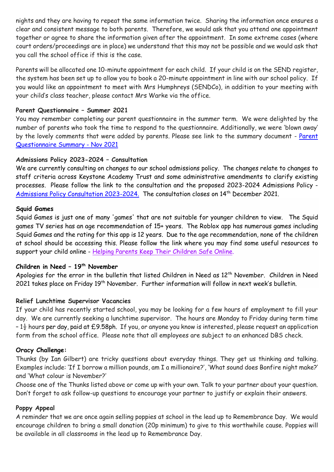nights and they are having to repeat the same information twice. Sharing the information once ensures a clear and consistent message to both parents. Therefore, we would ask that you attend one appointment together or agree to share the information given after the appointment. In some extreme cases (where court orders/proceedings are in place) we understand that this may not be possible and we would ask that you call the school office if this is the case.

Parents will be allocated one 10-minute appointment for each child. If your child is on the SEND register, the system has been set up to allow you to book a 20-minute appointment in line with our school policy. If you would like an appointment to meet with Mrs Humphreys (SENDCo), in addition to your meeting with your child's class teacher, please contact Mrs Warke via the office.

### **Parent Questionnaire – Summer 2021**

You may remember completing our parent questionnaire in the summer term. We were delighted by the number of parents who took the time to respond to the questionnaire. Additionally, we were 'blown away' by the lovely comments that were added by parents. Please see link to the summary document - Parent [Questionnaire Summary -](https://www.bournewestfield.lincs.sch.uk/assets/ckfinder_library/files/Parent%20Questionnaire%20Summary%20-%20Nov%202021.pdf) Nov 2021

## **Admissions Policy 2023-2024 – Consultation**

We are currently consulting on changes to our school admissions policy. The changes relate to changes to staff criteria across Keystone Academy Trust and some administrative amendments to clarify existing processes. Please follow the link to the consultation and the proposed 2023-2024 Admissions Policy - [Admissions Policy Consultation 2023-2024.](https://www.bournewestfield.lincs.sch.uk/page/20/admission-procedure) The consultation closes on 14<sup>th</sup> December 2021.

#### **Squid Games**

Squid Games is just one of many 'games' that are not suitable for younger children to view. The Squid games TV series has an age recommendation of 15+ years. The Roblox app has numerous games including Squid Games and the rating for this app is 12 years. Due to the age recommendation, none of the children at school should be accessing this. Please follow the link where you may find some useful resources to support your child online - [Helping Parents Keep Their Children Safe Online.](https://gbr01.safelinks.protection.outlook.com/?url=https%3A%2F%2Fwww.internetmatters.org%2F%3Futm_source%3DTwitter%26utm_medium%3Dsocial%26utm_campaign%3DOrlo%26utm_content%3DOther%2BSafeguarding&data=04%7C01%7CEloise.Malam%40lincolnshire.gov.uk%7C193575e0d3284f40f96108d993089049%7Cb4e05b92f8ce46b59b2499ba5c11e5e9%7C0%7C0%7C637702487261119223%7CUnknown%7CTWFpbGZsb3d8eyJWIjoiMC4wLjAwMDAiLCJQIjoiV2luMzIiLCJBTiI6Ik1haWwiLCJXVCI6Mn0%3D%7C1000&sdata=OwK7Nqy3Odhh65o7DiRZM3LQwbSde%2F5INuVUfTskb8A%3D&reserved=0)

#### **Children in Need – 19th November**

Apologies for the error in the bulletin that listed Children in Need as 12<sup>th</sup> November. Children in Need 2021 takes place on Friday 19<sup>th</sup> November. Further information will follow in next week's bulletin.

#### **Relief Lunchtime Supervisor Vacancies**

If your child has recently started school, you may be looking for a few hours of employment to fill your day. We are currently seeking a lunchtime supervisor. The hours are Monday to Friday during term time  $-1\frac{1}{2}$  hours per day, paid at £9.58ph. If you, or anyone you know is interested, please request an application form from the school office. Please note that all employees are subject to an enhanced DBS check.

#### **Oracy Challenge:**

Thunks (by Ian Gilbert) are tricky questions about everyday things. They get us thinking and talking. Examples include: 'If I borrow a million pounds, am I a millionaire?', 'What sound does Bonfire night make?' and 'What colour is November?'

Choose one of the Thunks listed above or come up with your own. Talk to your partner about your question. Don't forget to ask follow-up questions to encourage your partner to justify or explain their answers.

### **Poppy Appeal**

A reminder that we are once again selling poppies at school in the lead up to Remembrance Day. We would encourage children to bring a small donation (20p minimum) to give to this worthwhile cause. Poppies will be available in all classrooms in the lead up to Remembrance Day.